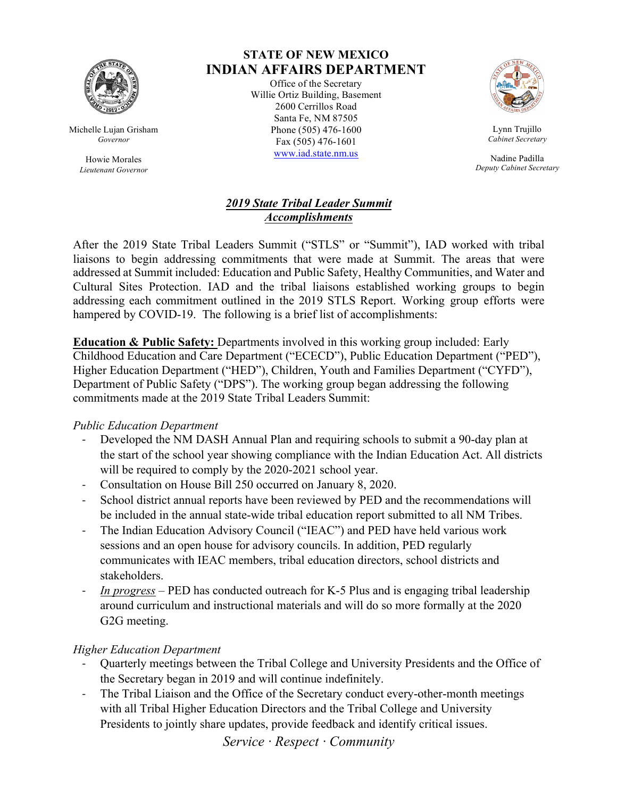

Michelle Lujan Grisham *Governor*

> Howie Morales *Lieutenant Governor*

# **STATE OF NEW MEXICO INDIAN AFFAIRS DEPARTMENT**

Office of the Secretary Willie Ortiz Building, Basement 2600 Cerrillos Road Santa Fe, NM 87505 Phone (505) 476-1600 Fax (505) 476-1601 www.iad.state.nm.us



Lynn Trujillo *Cabinet Secretary*

Nadine Padilla *Deputy Cabinet Secretary*

#### *2019 State Tribal Leader Summit Accomplishments*

After the 2019 State Tribal Leaders Summit ("STLS" or "Summit"), IAD worked with tribal liaisons to begin addressing commitments that were made at Summit. The areas that were addressed at Summit included: Education and Public Safety, Healthy Communities, and Water and Cultural Sites Protection. IAD and the tribal liaisons established working groups to begin addressing each commitment outlined in the 2019 STLS Report. Working group efforts were hampered by COVID-19. The following is a brief list of accomplishments:

**Education & Public Safety:** Departments involved in this working group included: Early Childhood Education and Care Department ("ECECD"), Public Education Department ("PED"), Higher Education Department ("HED"), Children, Youth and Families Department ("CYFD"), Department of Public Safety ("DPS"). The working group began addressing the following commitments made at the 2019 State Tribal Leaders Summit:

# *Public Education Department*

- Developed the NM DASH Annual Plan and requiring schools to submit a 90-day plan at the start of the school year showing compliance with the Indian Education Act. All districts will be required to comply by the 2020-2021 school year.
- Consultation on House Bill 250 occurred on January 8, 2020.
- School district annual reports have been reviewed by PED and the recommendations will be included in the annual state-wide tribal education report submitted to all NM Tribes.
- The Indian Education Advisory Council ("IEAC") and PED have held various work sessions and an open house for advisory councils. In addition, PED regularly communicates with IEAC members, tribal education directors, school districts and stakeholders.
- *In progress –* PED has conducted outreach for K-5 Plus and is engaging tribal leadership around curriculum and instructional materials and will do so more formally at the 2020 G2G meeting.

# *Higher Education Department*

- Quarterly meetings between the Tribal College and University Presidents and the Office of the Secretary began in 2019 and will continue indefinitely.
- The Tribal Liaison and the Office of the Secretary conduct every-other-month meetings with all Tribal Higher Education Directors and the Tribal College and University Presidents to jointly share updates, provide feedback and identify critical issues.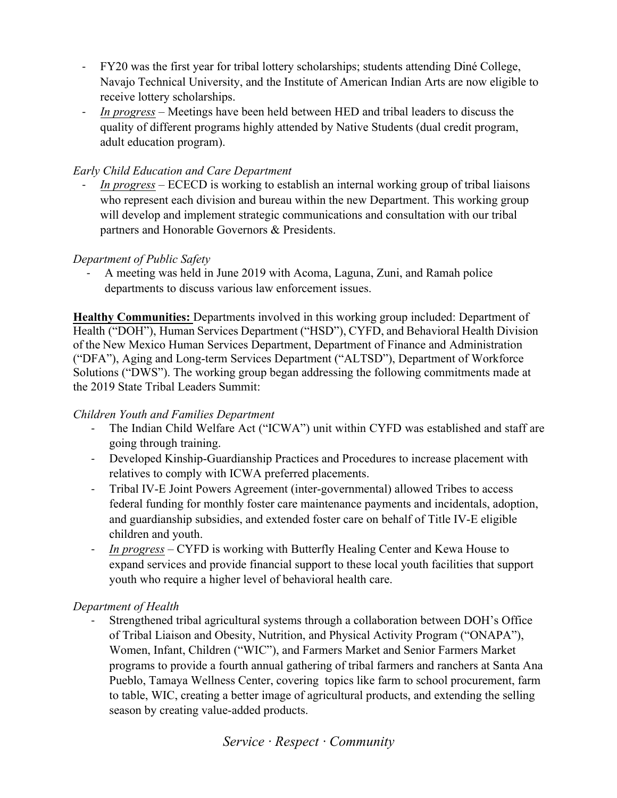- FY20 was the first year for tribal lottery scholarships; students attending Diné College, Navajo Technical University, and the Institute of American Indian Arts are now eligible to receive lottery scholarships.
- *In progress –* Meetings have been held between HED and tribal leaders to discuss the quality of different programs highly attended by Native Students (dual credit program, adult education program).

# *Early Child Education and Care Department*

- *In progress –* ECECD is working to establish an internal working group of tribal liaisons who represent each division and bureau within the new Department. This working group will develop and implement strategic communications and consultation with our tribal partners and Honorable Governors & Presidents.

# *Department of Public Safety*

- A meeting was held in June 2019 with Acoma, Laguna, Zuni, and Ramah police departments to discuss various law enforcement issues.

**Healthy Communities:** Departments involved in this working group included: Department of Health ("DOH"), Human Services Department ("HSD"), CYFD, and Behavioral Health Division of the New Mexico Human Services Department, Department of Finance and Administration ("DFA"), Aging and Long-term Services Department ("ALTSD"), Department of Workforce Solutions ("DWS"). The working group began addressing the following commitments made at the 2019 State Tribal Leaders Summit:

#### *Children Youth and Families Department*

- The Indian Child Welfare Act ("ICWA") unit within CYFD was established and staff are going through training.
- Developed Kinship-Guardianship Practices and Procedures to increase placement with relatives to comply with ICWA preferred placements.
- Tribal IV-E Joint Powers Agreement (inter-governmental) allowed Tribes to access federal funding for monthly foster care maintenance payments and incidentals, adoption, and guardianship subsidies, and extended foster care on behalf of Title IV-E eligible children and youth.
- *In progress –* CYFD is working with Butterfly Healing Center and Kewa House to expand services and provide financial support to these local youth facilities that support youth who require a higher level of behavioral health care.

# *Department of Health*

Strengthened tribal agricultural systems through a collaboration between DOH's Office of Tribal Liaison and Obesity, Nutrition, and Physical Activity Program ("ONAPA"), Women, Infant, Children ("WIC"), and Farmers Market and Senior Farmers Market programs to provide a fourth annual gathering of tribal farmers and ranchers at Santa Ana Pueblo, Tamaya Wellness Center, covering topics like farm to school procurement, farm to table, WIC, creating a better image of agricultural products, and extending the selling season by creating value-added products.

# *Service · Respect · Community*